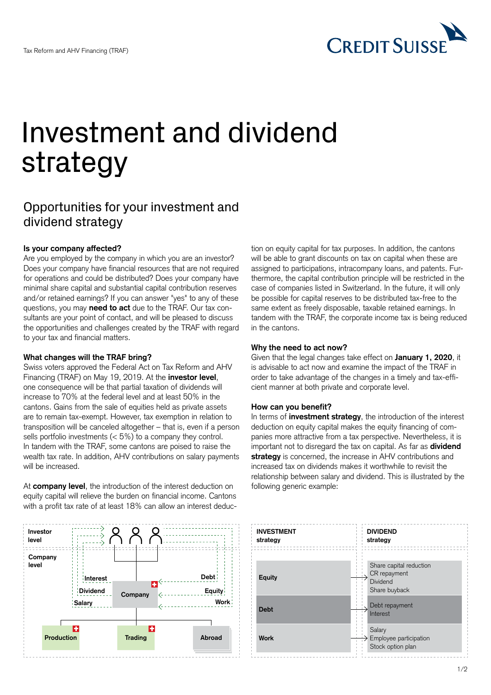

# Investment and dividend strategy

# Opportunities for your investment and dividend strategy

#### **Is your company affected?**

Are you employed by the company in which you are an investor? Does your company have financial resources that are not required for operations and could be distributed? Does your company have minimal share capital and substantial capital contribution reserves and/or retained earnings? If you can answer "yes" to any of these questions, you may **need to act** due to the TRAF. Our tax consultants are your point of contact, and will be pleased to discuss the opportunities and challenges created by the TRAF with regard to your tax and financial matters.

## **What changes will the TRAF bring?**

Swiss voters approved the Federal Act on Tax Reform and AHV Financing (TRAF) on May 19, 2019. At the **investor level**, one consequence will be that partial taxation of dividends will increase to 70% at the federal level and at least 50% in the cantons. Gains from the sale of equities held as private assets are to remain tax-exempt. However, tax exemption in relation to transposition will be canceled altogether – that is, even if a person sells portfolio investments  $(< 5\%)$  to a company they control. In tandem with the TRAF, some cantons are poised to raise the wealth tax rate. In addition, AHV contributions on salary payments will be increased.

At **company level**, the introduction of the interest deduction on equity capital will relieve the burden on financial income. Cantons with a profit tax rate of at least 18% can allow an interest deduc-



tion on equity capital for tax purposes. In addition, the cantons will be able to grant discounts on tax on capital when these are assigned to participations, intracompany loans, and patents. Furthermore, the capital contribution principle will be restricted in the case of companies listed in Switzerland. In the future, it will only be possible for capital reserves to be distributed tax-free to the same extent as freely disposable, taxable retained earnings. In tandem with the TRAF, the corporate income tax is being reduced in the cantons.

#### **Why the need to act now?**

Given that the legal changes take effect on **January 1, 2020**, it is advisable to act now and examine the impact of the TRAF in order to take advantage of the changes in a timely and tax-efficient manner at both private and corporate level.

#### **How can you benefit?**

In terms of **investment strategy**, the introduction of the interest deduction on equity capital makes the equity financing of companies more attractive from a tax perspective. Nevertheless, it is important not to disregard the tax on capital. As far as **dividend strategy** is concerned, the increase in AHV contributions and increased tax on dividends makes it worthwhile to revisit the relationship between salary and dividend. This is illustrated by the following generic example: